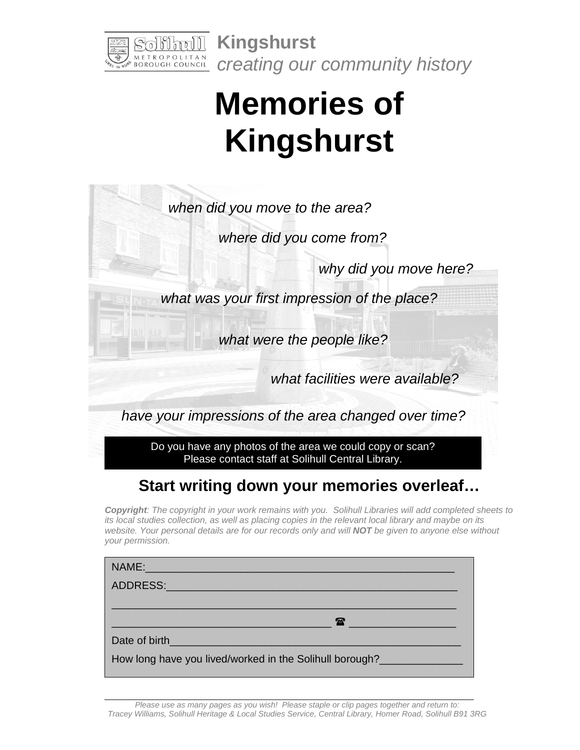

**Kingshurst**  *creating our community history*

## **Memories of Kingshurst**

*when did you move to the area?* 

*where did you come from?*

*why did you move here?* 

*what was your first impression of the place?* 

*what were the people like?*

*what facilities were available?*

*have your impressions of the area changed over time?* 

Do you have any photos of the area we could copy or scan? Please contact staff at Solihull Central Library.

## **Start writing down your memories overleaf…**

*Copyright: The copyright in your work remains with you. Solihull Libraries will add completed sheets to its local studies collection, as well as placing copies in the relevant local library and maybe on its website. Your personal details are for our records only and will NOT be given to anyone else without your permission.*

| NAME: 2008 - 2008 - 2008 - 2010 - 2010 - 2010 - 2010 - 2011 - 2012 - 2012 - 2012 - 2012 - 2013 - 2014 - 2012 - |
|----------------------------------------------------------------------------------------------------------------|
| ADDRESS: ADDRESS:                                                                                              |
|                                                                                                                |
| $\mathbf{T}$ , and the set of $\mathbf{T}$                                                                     |
| Date of birth <b>Exercise 2018</b>                                                                             |
| How long have you lived/worked in the Solihull borough?                                                        |

*Please use as many pages as you wish! Please staple or clip pages together and return to: Tracey Williams, Solihull Heritage & Local Studies Service, Central Library, Homer Road, Solihull B91 3RG*